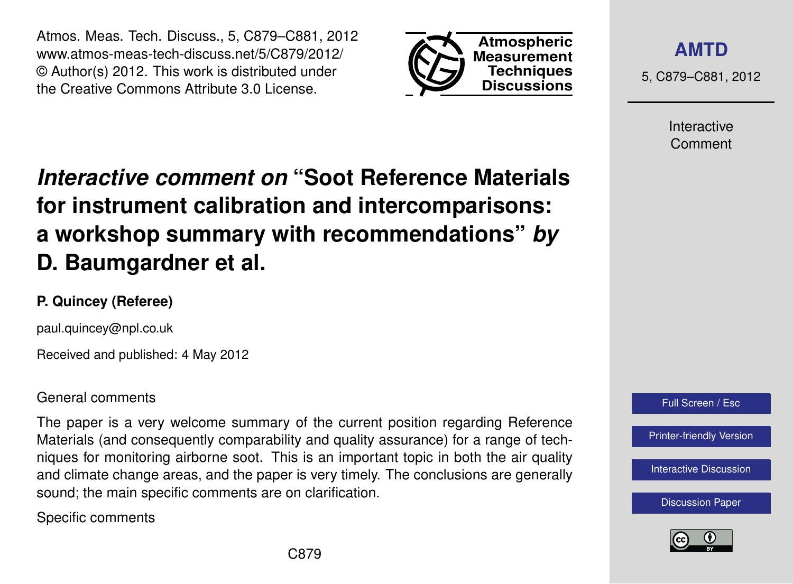Atmos. Meas. Tech. Discuss., 5, C879–C881, 2012 www.atmos-meas-tech-discuss.net/5/C879/2012/ © Author(s) 2012. This work is distributed under the Creative Commons Attribute 3.0 License.



**[AMTD](http://www.atmos-meas-tech-discuss.net)**

5, C879–C881, 2012

Interactive Comment

## *Interactive comment on* **"Soot Reference Materials for instrument calibration and intercomparisons: a workshop summary with recommendations"** *by* **D. Baumgardner et al.**

## **P. Quincey (Referee)**

paul.quincey@npl.co.uk

Received and published: 4 May 2012

## General comments

The paper is a very welcome summary of the current position regarding Reference Materials (and consequently comparability and quality assurance) for a range of techniques for monitoring airborne soot. This is an important topic in both the air quality and climate change areas, and the paper is very timely. The conclusions are generally sound; the main specific comments are on clarification.

Specific comments



[Printer-friendly Version](http://www.atmos-meas-tech-discuss.net/5/C879/2012/amtd-5-C879-2012-print.pdf)

[Interactive Discussion](http://www.atmos-meas-tech-discuss.net/5/2315/2012/amtd-5-2315-2012-discussion.html)

[Discussion Paper](http://www.atmos-meas-tech-discuss.net/5/2315/2012/amtd-5-2315-2012.pdf)

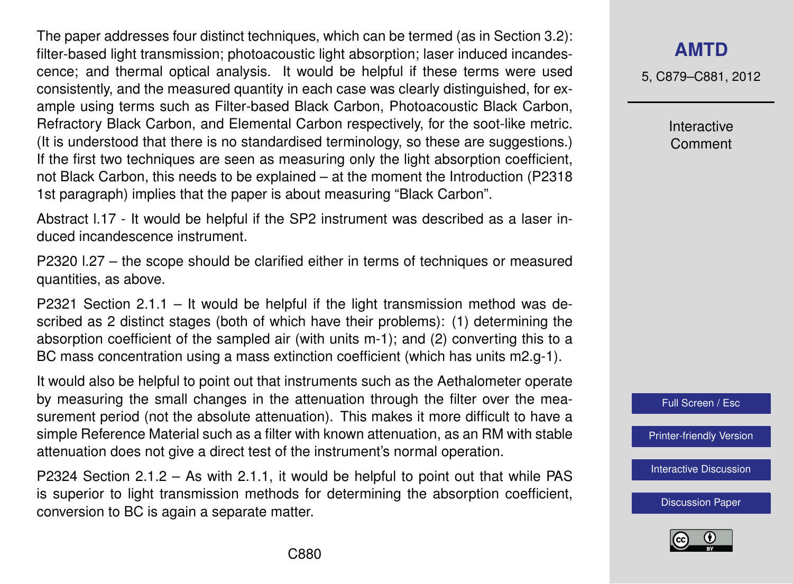The paper addresses four distinct techniques, which can be termed (as in Section 3.2): filter-based light transmission; photoacoustic light absorption; laser induced incandescence; and thermal optical analysis. It would be helpful if these terms were used consistently, and the measured quantity in each case was clearly distinguished, for example using terms such as Filter-based Black Carbon, Photoacoustic Black Carbon, Refractory Black Carbon, and Elemental Carbon respectively, for the soot-like metric. (It is understood that there is no standardised terminology, so these are suggestions.) If the first two techniques are seen as measuring only the light absorption coefficient, not Black Carbon, this needs to be explained – at the moment the Introduction (P2318 1st paragraph) implies that the paper is about measuring "Black Carbon".

Abstract l.17 - It would be helpful if the SP2 instrument was described as a laser induced incandescence instrument.

P2320 l.27 – the scope should be clarified either in terms of techniques or measured quantities, as above.

P2321 Section 2.1.1 – It would be helpful if the light transmission method was described as 2 distinct stages (both of which have their problems): (1) determining the absorption coefficient of the sampled air (with units m-1); and (2) converting this to a BC mass concentration using a mass extinction coefficient (which has units m2.g-1).

It would also be helpful to point out that instruments such as the Aethalometer operate by measuring the small changes in the attenuation through the filter over the measurement period (not the absolute attenuation). This makes it more difficult to have a simple Reference Material such as a filter with known attenuation, as an RM with stable attenuation does not give a direct test of the instrument's normal operation.

P2324 Section 2.1.2 – As with 2.1.1, it would be helpful to point out that while PAS is superior to light transmission methods for determining the absorption coefficient, conversion to BC is again a separate matter.

## **[AMTD](http://www.atmos-meas-tech-discuss.net)**

5, C879–C881, 2012

Interactive Comment



[Printer-friendly Version](http://www.atmos-meas-tech-discuss.net/5/C879/2012/amtd-5-C879-2012-print.pdf)

[Interactive Discussion](http://www.atmos-meas-tech-discuss.net/5/2315/2012/amtd-5-2315-2012-discussion.html)

[Discussion Paper](http://www.atmos-meas-tech-discuss.net/5/2315/2012/amtd-5-2315-2012.pdf)